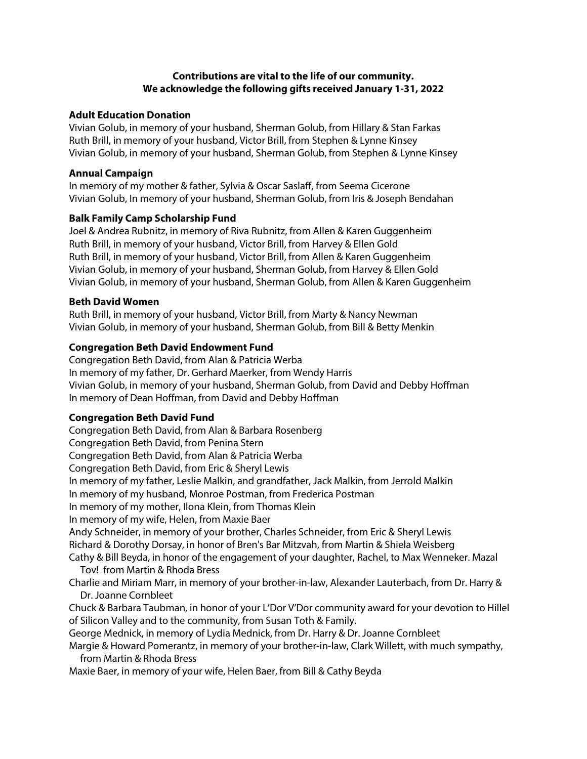# **Contributions are vital to the life of our community. We acknowledge the following gifts received January 1-31, 2022**

#### **Adult Education Donation**

Vivian Golub, in memory of your husband, Sherman Golub, from Hillary & Stan Farkas Ruth Brill, in memory of your husband, Victor Brill, from Stephen & Lynne Kinsey Vivian Golub, in memory of your husband, Sherman Golub, from Stephen & Lynne Kinsey

### **Annual Campaign**

In memory of my mother & father, Sylvia & Oscar Saslaff, from Seema Cicerone Vivian Golub, In memory of your husband, Sherman Golub, from Iris & Joseph Bendahan

## **Balk Family Camp Scholarship Fund**

Joel & Andrea Rubnitz, in memory of Riva Rubnitz, from Allen & Karen Guggenheim Ruth Brill, in memory of your husband, Victor Brill, from Harvey & Ellen Gold Ruth Brill, in memory of your husband, Victor Brill, from Allen & Karen Guggenheim Vivian Golub, in memory of your husband, Sherman Golub, from Harvey & Ellen Gold Vivian Golub, in memory of your husband, Sherman Golub, from Allen & Karen Guggenheim

#### **Beth David Women**

Ruth Brill, in memory of your husband, Victor Brill, from Marty & Nancy Newman Vivian Golub, in memory of your husband, Sherman Golub, from Bill & Betty Menkin

## **Congregation Beth David Endowment Fund**

Congregation Beth David, from Alan & Patricia Werba In memory of my father, Dr. Gerhard Maerker, from Wendy Harris Vivian Golub, in memory of your husband, Sherman Golub, from David and Debby Hoffman In memory of Dean Hoffman, from David and Debby Hoffman

## **Congregation Beth David Fund**

Congregation Beth David, from Alan & Barbara Rosenberg Congregation Beth David, from Penina Stern Congregation Beth David, from Alan & Patricia Werba Congregation Beth David, from Eric & Sheryl Lewis In memory of my father, Leslie Malkin, and grandfather, Jack Malkin, from Jerrold Malkin In memory of my husband, Monroe Postman, from Frederica Postman In memory of my mother, Ilona Klein, from Thomas Klein In memory of my wife, Helen, from Maxie Baer Andy Schneider, in memory of your brother, Charles Schneider, from Eric & Sheryl Lewis Richard & Dorothy Dorsay, in honor of Bren's Bar Mitzvah, from Martin & Shiela Weisberg Cathy & Bill Beyda, in honor of the engagement of your daughter, Rachel, to Max Wenneker. Mazal Tov! from Martin & Rhoda Bress Charlie and Miriam Marr, in memory of your brother-in-law, Alexander Lauterbach, from Dr. Harry & Dr. Joanne Cornbleet Chuck & Barbara Taubman, in honor of your L'Dor V'Dor community award for your devotion to Hillel of Silicon Valley and to the community, from Susan Toth & Family. George Mednick, in memory of Lydia Mednick, from Dr. Harry & Dr. Joanne Cornbleet Margie & Howard Pomerantz, in memory of your brother-in-law, Clark Willett, with much sympathy,

 from Martin & Rhoda Bress Maxie Baer, in memory of your wife, Helen Baer, from Bill & Cathy Beyda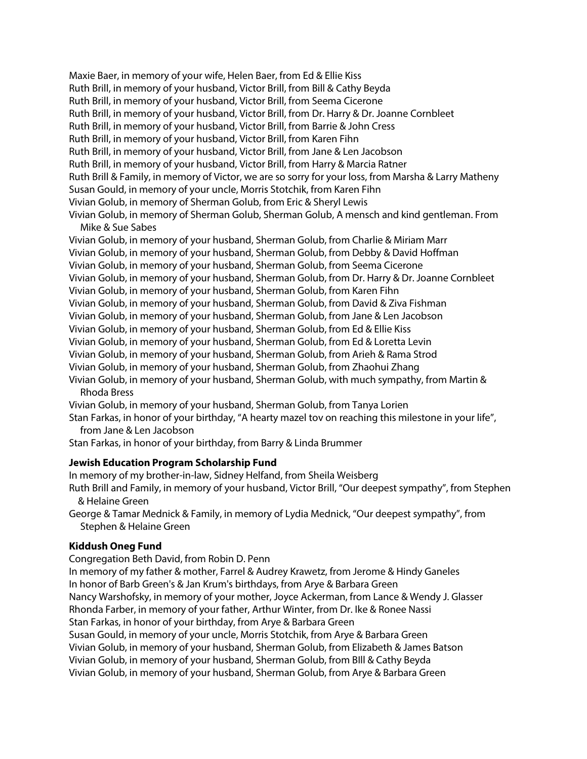Maxie Baer, in memory of your wife, Helen Baer, from Ed & Ellie Kiss Ruth Brill, in memory of your husband, Victor Brill, from Bill & Cathy Beyda Ruth Brill, in memory of your husband, Victor Brill, from Seema Cicerone Ruth Brill, in memory of your husband, Victor Brill, from Dr. Harry & Dr. Joanne Cornbleet Ruth Brill, in memory of your husband, Victor Brill, from Barrie & John Cress Ruth Brill, in memory of your husband, Victor Brill, from Karen Fihn Ruth Brill, in memory of your husband, Victor Brill, from Jane & Len Jacobson Ruth Brill, in memory of your husband, Victor Brill, from Harry & Marcia Ratner Ruth Brill & Family, in memory of Victor, we are so sorry for your loss, from Marsha & Larry Matheny Susan Gould, in memory of your uncle, Morris Stotchik, from Karen Fihn Vivian Golub, in memory of Sherman Golub, from Eric & Sheryl Lewis Vivian Golub, in memory of Sherman Golub, Sherman Golub, A mensch and kind gentleman. From

Mike & Sue Sabes

Vivian Golub, in memory of your husband, Sherman Golub, from Charlie & Miriam Marr Vivian Golub, in memory of your husband, Sherman Golub, from Debby & David Hoffman Vivian Golub, in memory of your husband, Sherman Golub, from Seema Cicerone Vivian Golub, in memory of your husband, Sherman Golub, from Dr. Harry & Dr. Joanne Cornbleet Vivian Golub, in memory of your husband, Sherman Golub, from Karen Fihn Vivian Golub, in memory of your husband, Sherman Golub, from David & Ziva Fishman Vivian Golub, in memory of your husband, Sherman Golub, from Jane & Len Jacobson Vivian Golub, in memory of your husband, Sherman Golub, from Ed & Ellie Kiss Vivian Golub, in memory of your husband, Sherman Golub, from Ed & Loretta Levin Vivian Golub, in memory of your husband, Sherman Golub, from Arieh & Rama Strod Vivian Golub, in memory of your husband, Sherman Golub, from Zhaohui Zhang Vivian Golub, in memory of your husband, Sherman Golub, with much sympathy, from Martin & Rhoda Bress Vivian Golub, in memory of your husband, Sherman Golub, from Tanya Lorien Stan Farkas, in honor of your birthday, "A hearty mazel tov on reaching this milestone in your life",

from Jane & Len Jacobson

Stan Farkas, in honor of your birthday, from Barry & Linda Brummer

#### **Jewish Education Program Scholarship Fund**

In memory of my brother-in-law, Sidney Helfand, from Sheila Weisberg Ruth Brill and Family, in memory of your husband, Victor Brill, "Our deepest sympathy", from Stephen & Helaine Green

George & Tamar Mednick & Family, in memory of Lydia Mednick, "Our deepest sympathy", from Stephen & Helaine Green

## **Kiddush Oneg Fund**

Congregation Beth David, from Robin D. Penn In memory of my father & mother, Farrel & Audrey Krawetz, from Jerome & Hindy Ganeles In honor of Barb Green's & Jan Krum's birthdays, from Arye & Barbara Green Nancy Warshofsky, in memory of your mother, Joyce Ackerman, from Lance & Wendy J. Glasser Rhonda Farber, in memory of your father, Arthur Winter, from Dr. Ike & Ronee Nassi Stan Farkas, in honor of your birthday, from Arye & Barbara Green Susan Gould, in memory of your uncle, Morris Stotchik, from Arye & Barbara Green Vivian Golub, in memory of your husband, Sherman Golub, from Elizabeth & James Batson Vivian Golub, in memory of your husband, Sherman Golub, from BIll & Cathy Beyda Vivian Golub, in memory of your husband, Sherman Golub, from Arye & Barbara Green